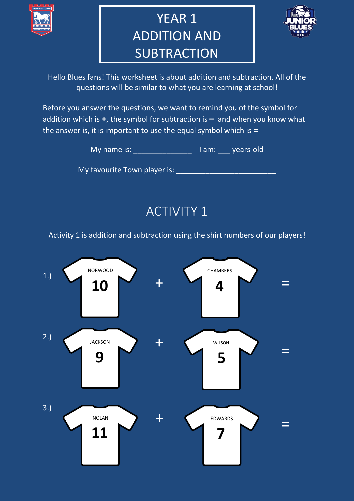

## YEAR 1 ADDITION AND **SUBTRACTION**



Hello Blues fans! This worksheet is about addition and subtraction. All of the questions will be similar to what you are learning at school!

Before you answer the questions, we want to remind you of the symbol for addition which is **+**, the symbol for subtraction is **–** and when you know what the answer is, it is important to use the equal symbol which is **=**

My name is: \_\_\_\_\_\_\_\_\_\_\_\_\_\_ I am: \_\_\_ years-old

My favourite Town player is: \_\_\_\_\_\_\_\_\_\_\_\_\_\_\_\_\_\_\_\_\_\_\_\_

**ACTIVITY 1** 

Activity  $\overline{1}$  is addition and subtraction using the shirt numbers of our players!

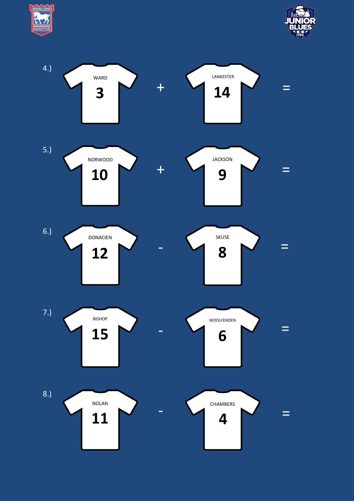



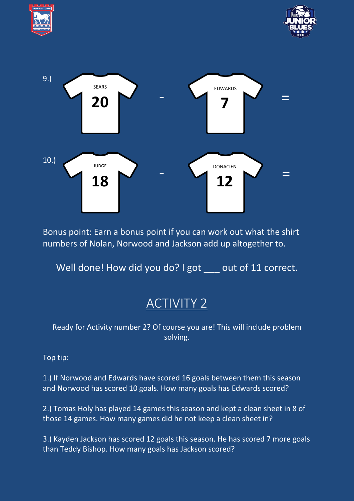





Bonus point: Earn a bonus point if you can work out what the shirt numbers of Nolan, Norwood and Jackson add up altogether to.

Well done! How did you do? I got \_\_\_ out of 11 correct.

## ACTIVITY 2

Ready for Activity number 2? Of course you are! This will include problem solving.

Top tip:

1.) If Norwood and Edwards have scored 16 goals between them this season and Norwood has scored 10 goals. How many goals has Edwards scored?

2.) Tomas Holy has played 14 games this season and kept a clean sheet in 8 of those 14 games. How many games did he not keep a clean sheet in?

3.) Kayden Jackson has scored 12 goals this season. He has scored 7 more goals than Teddy Bishop. How many goals has Jackson scored?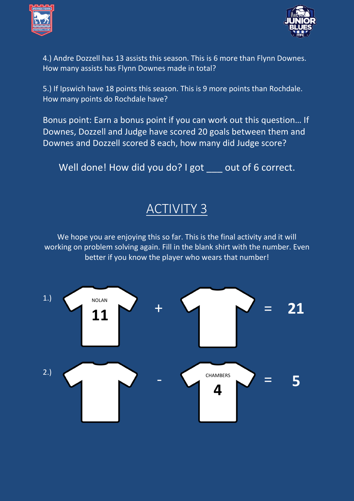



4.) Andre Dozzell has 13 assists this season. This is 6 more than Flynn Downes. How many assists has Flynn Downes made in total?

5.) If Ipswich have 18 points this season. This is 9 more points than Rochdale. How many points do Rochdale have?

Bonus point: Earn a bonus point if you can work out this question… If Downes, Dozzell and Judge have scored 20 goals between them and Downes and Dozzell scored 8 each, how many did Judge score?

Well done! How did you do? I got \_\_\_ out of 6 correct.

## ACTIVITY 3

We hope you are enjoying this so far. This is the final activity and it will working on problem solving again. Fill in the blank shirt with the number. Even better if you know the player who wears that number!